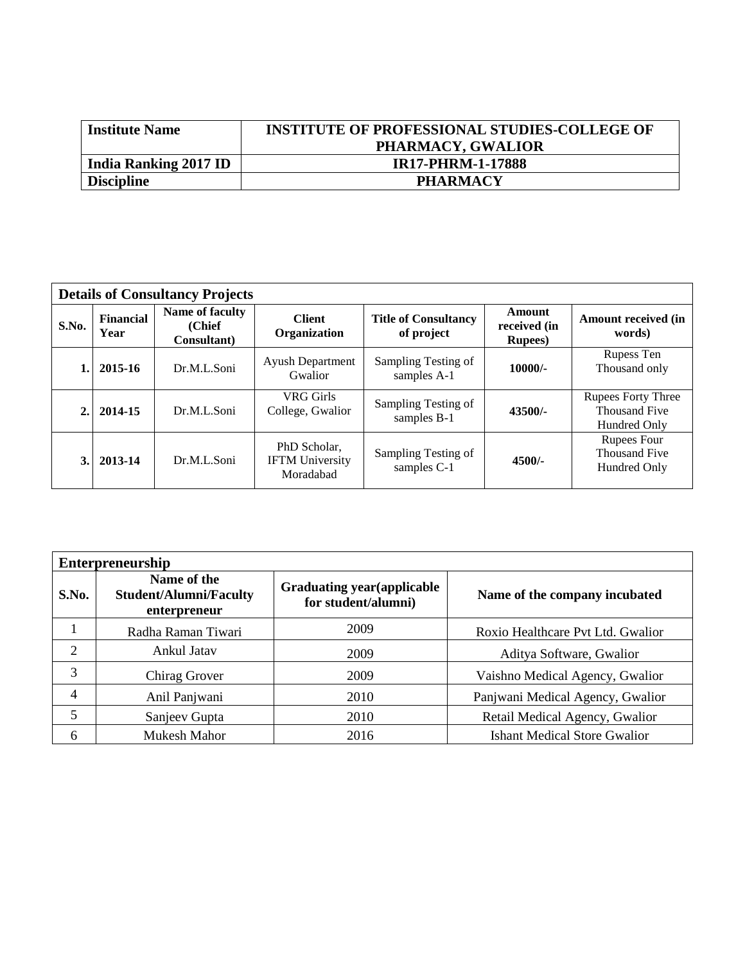| <b>Institute Name</b>        | <b>INSTITUTE OF PROFESSIONAL STUDIES-COLLEGE OF</b> |
|------------------------------|-----------------------------------------------------|
|                              | PHARMACY, GWALIOR                                   |
| <b>India Ranking 2017 ID</b> | <b>IR17-PHRM-1-17888</b>                            |
| <b>Discipline</b>            | <b>PHARMACY</b>                                     |

| <b>Details of Consultancy Projects</b> |                          |                                           |                                                     |                                                           |           |                                                                   |  |
|----------------------------------------|--------------------------|-------------------------------------------|-----------------------------------------------------|-----------------------------------------------------------|-----------|-------------------------------------------------------------------|--|
| S.No.                                  | <b>Financial</b><br>Year | Name of faculty<br>(Chief)<br>Consultant) | <b>Client</b><br>Organization                       | <b>Title of Consultancy</b><br>received (in<br>of project |           | <b>Amount received (in</b><br>words)                              |  |
|                                        | 2015-16                  | Dr.M.L.Soni                               | <b>Ayush Department</b><br>Gwalior                  | Sampling Testing of<br>samples A-1                        | $10000/-$ | Rupess Ten<br>Thousand only                                       |  |
| 2.                                     | 2014-15                  | Dr.M.L.Soni                               | VRG Girls<br>College, Gwalior                       | Sampling Testing of<br>samples B-1                        | 43500/-   | <b>Rupees Forty Three</b><br><b>Thousand Five</b><br>Hundred Only |  |
| 3.1                                    | 2013-14                  | Dr.M.L.Soni                               | PhD Scholar.<br><b>IFTM</b> University<br>Moradabad | Sampling Testing of<br>samples C-1                        | $4500/-$  | Rupees Four<br><b>Thousand Five</b><br>Hundred Only               |  |

| <b>Enterpreneurship</b> |                                                              |                                                           |                                     |  |  |  |
|-------------------------|--------------------------------------------------------------|-----------------------------------------------------------|-------------------------------------|--|--|--|
| S.No.                   | Name of the<br><b>Student/Alumni/Faculty</b><br>enterpreneur | <b>Graduating year (applicable</b><br>for student/alumni) | Name of the company incubated       |  |  |  |
|                         | Radha Raman Tiwari                                           | 2009                                                      | Roxio Healthcare Pvt Ltd. Gwalior   |  |  |  |
| 2                       | Ankul Jatav                                                  | 2009                                                      | Aditya Software, Gwalior            |  |  |  |
| 3                       | Chirag Grover                                                | 2009                                                      | Vaishno Medical Agency, Gwalior     |  |  |  |
| 4                       | Anil Panjwani                                                | 2010                                                      | Panjwani Medical Agency, Gwalior    |  |  |  |
| 5                       | Sanjeev Gupta                                                | 2010                                                      | Retail Medical Agency, Gwalior      |  |  |  |
| 6                       | Mukesh Mahor                                                 | 2016                                                      | <b>Ishant Medical Store Gwalior</b> |  |  |  |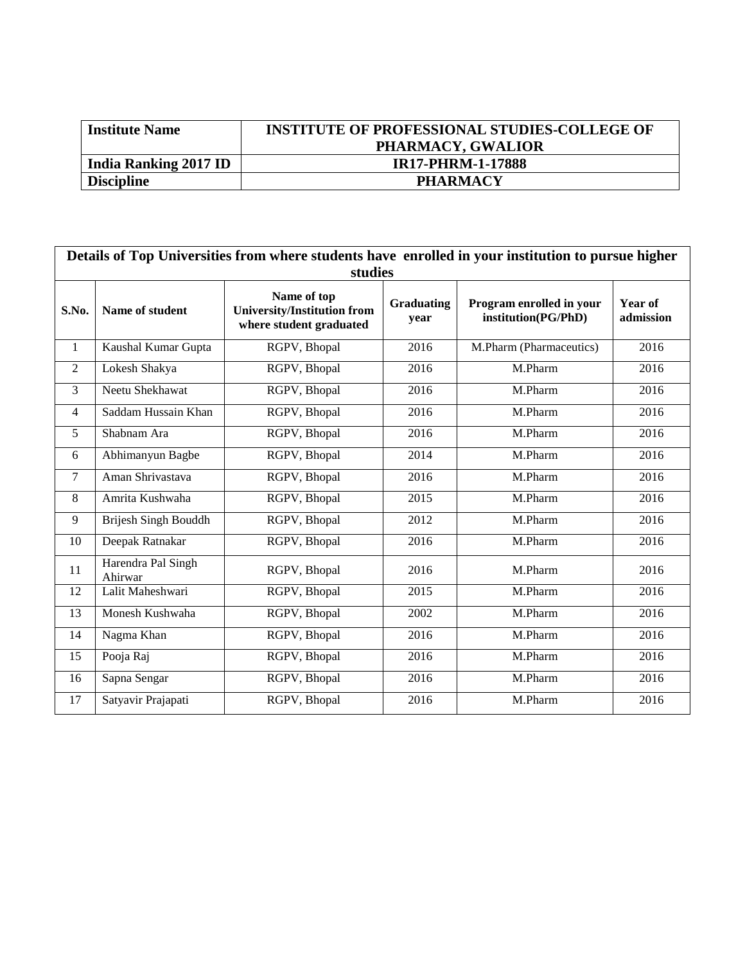| <b>Institute Name</b>        | <b>INSTITUTE OF PROFESSIONAL STUDIES-COLLEGE OF</b> |
|------------------------------|-----------------------------------------------------|
|                              | PHARMACY, GWALIOR                                   |
| <b>India Ranking 2017 ID</b> | <b>IR17-PHRM-1-17888</b>                            |
| <b>Discipline</b>            | <b>PHARMACY</b>                                     |

| Details of Top Universities from where students have enrolled in your institution to pursue higher<br>studies |                               |                                                                              |                           |                                                 |                      |  |  |  |
|---------------------------------------------------------------------------------------------------------------|-------------------------------|------------------------------------------------------------------------------|---------------------------|-------------------------------------------------|----------------------|--|--|--|
| S.No.                                                                                                         | Name of student               | Name of top<br><b>University/Institution from</b><br>where student graduated | <b>Graduating</b><br>year | Program enrolled in your<br>institution(PG/PhD) | Year of<br>admission |  |  |  |
| $\mathbf{1}$                                                                                                  | Kaushal Kumar Gupta           | RGPV, Bhopal                                                                 | 2016                      | M.Pharm (Pharmaceutics)                         | 2016                 |  |  |  |
| $\overline{2}$                                                                                                | Lokesh Shakya                 | RGPV, Bhopal                                                                 | 2016                      | M.Pharm                                         | 2016                 |  |  |  |
| 3                                                                                                             | Neetu Shekhawat               | RGPV, Bhopal                                                                 | 2016                      | M.Pharm                                         | 2016                 |  |  |  |
| $\overline{4}$                                                                                                | Saddam Hussain Khan           | RGPV, Bhopal                                                                 | 2016                      | M.Pharm                                         | 2016                 |  |  |  |
| 5                                                                                                             | Shabnam Ara                   | RGPV, Bhopal                                                                 | 2016                      | M.Pharm                                         | 2016                 |  |  |  |
| 6                                                                                                             | Abhimanyun Bagbe              | RGPV, Bhopal                                                                 | 2014                      | M.Pharm                                         | 2016                 |  |  |  |
| $\overline{7}$                                                                                                | Aman Shrivastava              | RGPV, Bhopal                                                                 | 2016                      | M.Pharm                                         | 2016                 |  |  |  |
| 8                                                                                                             | Amrita Kushwaha               | RGPV, Bhopal                                                                 | 2015                      | M.Pharm                                         | 2016                 |  |  |  |
| 9                                                                                                             | Brijesh Singh Bouddh          | RGPV, Bhopal                                                                 | 2012                      | M.Pharm                                         | 2016                 |  |  |  |
| 10                                                                                                            | Deepak Ratnakar               | RGPV, Bhopal                                                                 | 2016                      | M.Pharm                                         | 2016                 |  |  |  |
| 11                                                                                                            | Harendra Pal Singh<br>Ahirwar | RGPV, Bhopal                                                                 | 2016                      | M.Pharm                                         | 2016                 |  |  |  |
| 12                                                                                                            | Lalit Maheshwari              | RGPV, Bhopal                                                                 | 2015                      | M.Pharm                                         | 2016                 |  |  |  |
| 13                                                                                                            | Monesh Kushwaha               | RGPV, Bhopal                                                                 | 2002                      | M.Pharm                                         | 2016                 |  |  |  |
| 14                                                                                                            | Nagma Khan                    | RGPV, Bhopal                                                                 | 2016                      | M.Pharm                                         | 2016                 |  |  |  |
| 15                                                                                                            | Pooja Raj                     | RGPV, Bhopal                                                                 | 2016                      | M.Pharm                                         | 2016                 |  |  |  |
| 16                                                                                                            | Sapna Sengar                  | RGPV, Bhopal                                                                 | 2016                      | M.Pharm                                         | 2016                 |  |  |  |
| 17                                                                                                            | Satyavir Prajapati            | RGPV, Bhopal                                                                 | 2016                      | M.Pharm                                         | 2016                 |  |  |  |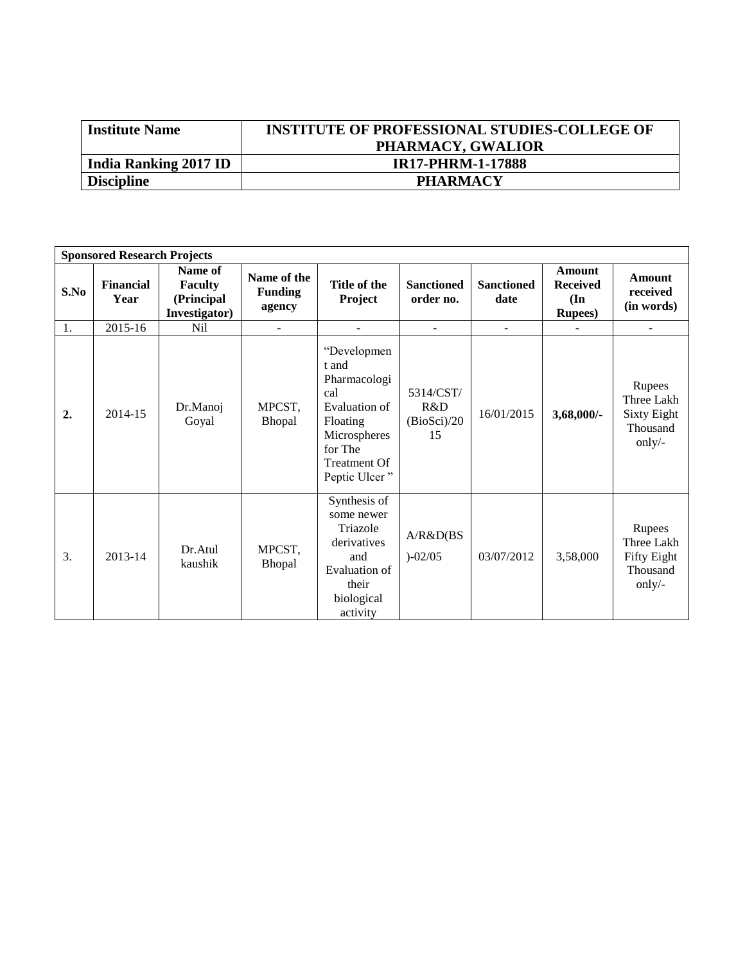| <b>Institute Name</b> | <b>INSTITUTE OF PROFESSIONAL STUDIES-COLLEGE OF</b> |
|-----------------------|-----------------------------------------------------|
|                       | PHARMACY, GWALIOR                                   |
| India Ranking 2017 ID | <b>IR17-PHRM-1-17888</b>                            |
| <b>Discipline</b>     | <b>PHARMACY</b>                                     |
|                       |                                                     |

| <b>Sponsored Research Projects</b> |                          |                                                          |                                         |                                                                                                                                      |                                       |                           |                                                                        |                                                                  |
|------------------------------------|--------------------------|----------------------------------------------------------|-----------------------------------------|--------------------------------------------------------------------------------------------------------------------------------------|---------------------------------------|---------------------------|------------------------------------------------------------------------|------------------------------------------------------------------|
| S.No                               | <b>Financial</b><br>Year | Name of<br><b>Faculty</b><br>(Principal<br>Investigator) | Name of the<br><b>Funding</b><br>agency | Title of the<br>Project                                                                                                              | <b>Sanctioned</b><br>order no.        | <b>Sanctioned</b><br>date | <b>Amount</b><br><b>Received</b><br>$(\mathbf{In})$<br><b>Rupees</b> ) | <b>Amount</b><br>received<br>(in words)                          |
| 1.                                 | 2015-16                  | N <sub>il</sub>                                          | $\overline{\phantom{a}}$                |                                                                                                                                      | ٠                                     | $\blacksquare$            |                                                                        | $\blacksquare$                                                   |
| 2.                                 | 2014-15                  | Dr.Manoj<br>Goyal                                        | MPCST,<br>Bhopal                        | "Developmen<br>t and<br>Pharmacologi<br>cal<br>Evaluation of<br>Floating<br>Microspheres<br>for The<br>Treatment Of<br>Peptic Ulcer" | 5314/CST/<br>R&D<br>(BioSci)/20<br>15 | 16/01/2015                | 3,68,000/-                                                             | Rupees<br>Three Lakh<br><b>Sixty Eight</b><br>Thousand<br>only/- |
| 3.                                 | 2013-14                  | Dr.Atul<br>kaushik                                       | MPCST,<br>Bhopal                        | Synthesis of<br>some newer<br>Triazole<br>derivatives<br>and<br>Evaluation of<br>their<br>biological<br>activity                     | A/R&D(BS)<br>$)-02/05$                | 03/07/2012                | 3,58,000                                                               | Rupees<br>Three Lakh<br>Fifty Eight<br>Thousand<br>only/-        |